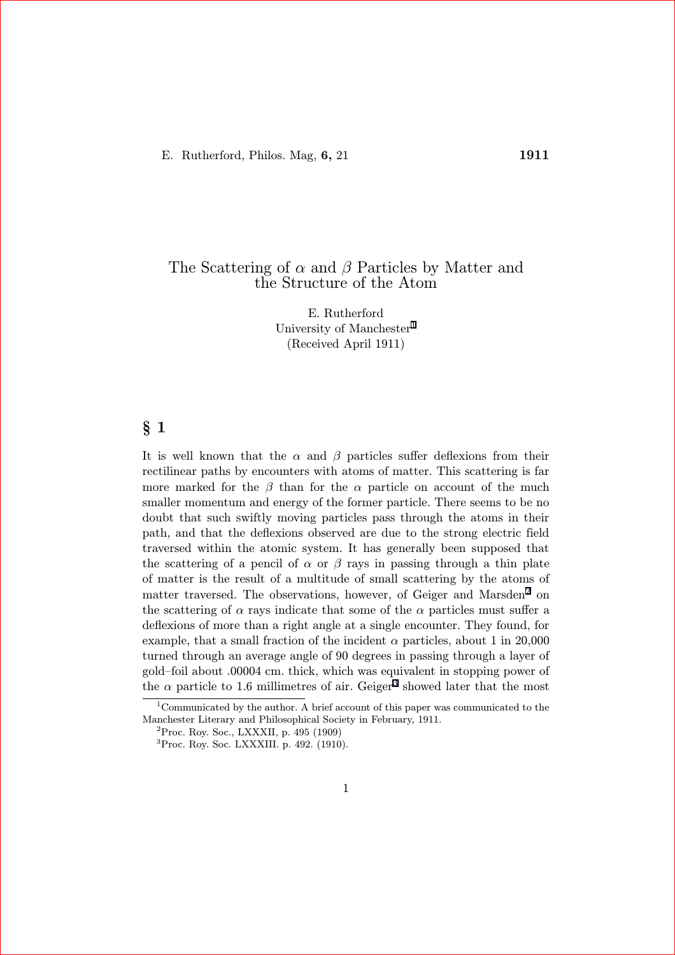### The Scattering of  $\alpha$  and  $\beta$  Particles by Matter and the Structure of the Atom

E. Rutherford University of Manchester<sup>[1](#page-0-0)</sup> (Received April 1911)

# § 1

It is well known that the  $\alpha$  and  $\beta$  particles suffer deflexions from their rectilinear paths by encounters with atoms of matter. This scattering is far more marked for the  $\beta$  than for the  $\alpha$  particle on account of the much smaller momentum and energy of the former particle. There seems to be no doubt that such swiftly moving particles pass through the atoms in their path, and that the deflexions observed are due to the strong electric field traversed within the atomic system. It has generally been supposed that the scattering of a pencil of  $\alpha$  or  $\beta$  rays in passing through a thin plate of matter is the result of a multitude of small scattering by the atoms of matter traversed. The observations, however, of Geiger and Marsden<sup>[2](#page-0-0)</sup> on the scattering of  $\alpha$  rays indicate that some of the  $\alpha$  particles must suffer a deflexions of more than a right angle at a single encounter. They found, for example, that a small fraction of the incident  $\alpha$  particles, about 1 in 20,000 turned through an average angle of 90 degrees in passing through a layer of gold–foil about .00004 cm. thick, which was equivalent in stopping power of the  $\alpha$  particle to 1.6 millimetres of air. Geiger<sup>[3](#page-0-0)</sup> showed later that the most

<sup>&</sup>lt;sup>1</sup>Communicated by the author. A brief account of this paper was communicated to the Manchester Literary and Philosophical Society in February, 1911.

 ${}^{2}$ Proc. Roy. Soc., LXXXII, p. 495 (1909)

<span id="page-0-0"></span><sup>3</sup>Proc. Roy. Soc. LXXXIII. p. 492. (1910).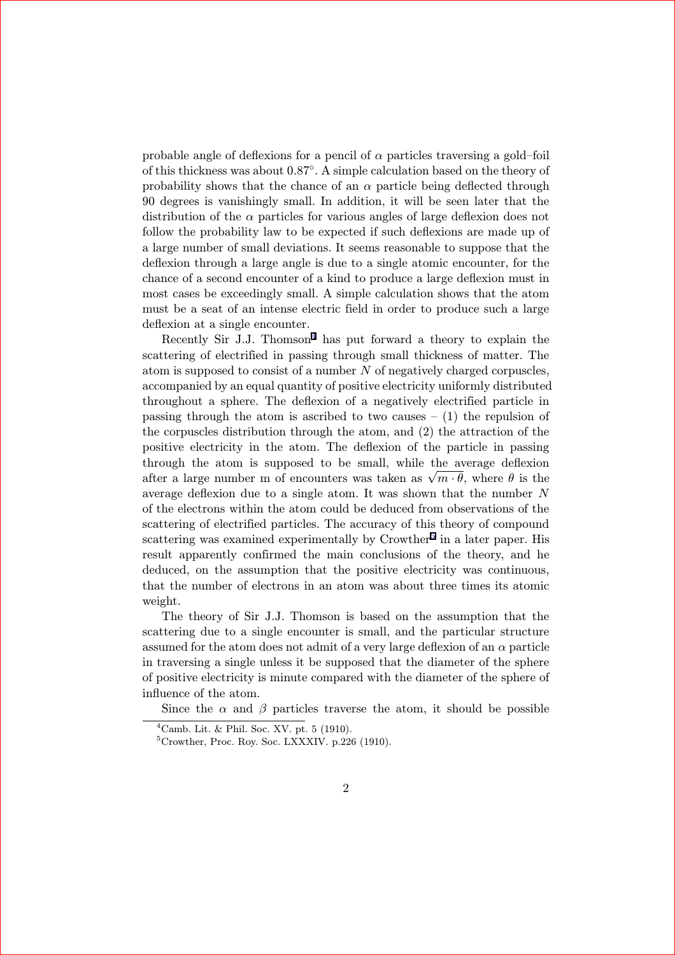probable angle of deflexions for a pencil of  $\alpha$  particles traversing a gold–foil of this thickness was about 0.87◦. A simple calculation based on the theory of probability shows that the chance of an  $\alpha$  particle being deflected through 90 degrees is vanishingly small. In addition, it will be seen later that the distribution of the  $\alpha$  particles for various angles of large deflexion does not follow the probability law to be expected if such deflexions are made up of a large number of small deviations. It seems reasonable to suppose that the deflexion through a large angle is due to a single atomic encounter, for the chance of a second encounter of a kind to produce a large deflexion must in most cases be exceedingly small. A simple calculation shows that the atom must be a seat of an intense electric field in order to produce such a large deflexion at a single encounter.

Recently Sir J.J. Thomson<sup>[4](#page-1-0)</sup> has put forward a theory to explain the scattering of electrified in passing through small thickness of matter. The atom is supposed to consist of a number  $N$  of negatively charged corpuscles, accompanied by an equal quantity of positive electricity uniformly distributed throughout a sphere. The deflexion of a negatively electrified particle in passing through the atom is ascribed to two causes  $- (1)$  the repulsion of the corpuscles distribution through the atom, and (2) the attraction of the positive electricity in the atom. The deflexion of the particle in passing through the atom is supposed to be small, while the average deflexion after a large number m of encounters was taken as  $\sqrt{m \cdot \theta}$ , where  $\theta$  is the average deflexion due to a single atom. It was shown that the number N of the electrons within the atom could be deduced from observations of the scattering of electrified particles. The accuracy of this theory of compound scattering was examined experimentally by  $Crownther<sup>5</sup>$  $Crownther<sup>5</sup>$  $Crownther<sup>5</sup>$  in a later paper. His result apparently confirmed the main conclusions of the theory, and he deduced, on the assumption that the positive electricity was continuous, that the number of electrons in an atom was about three times its atomic weight.

The theory of Sir J.J. Thomson is based on the assumption that the scattering due to a single encounter is small, and the particular structure assumed for the atom does not admit of a very large deflexion of an  $\alpha$  particle in traversing a single unless it be supposed that the diameter of the sphere of positive electricity is minute compared with the diameter of the sphere of influence of the atom.

Since the  $\alpha$  and  $\beta$  particles traverse the atom, it should be possible

<sup>&</sup>lt;sup>4</sup>Camb. Lit. & Phil. Soc. XV. pt. 5 (1910).

<span id="page-1-0"></span> ${}^5$ Crowther, Proc. Roy. Soc. LXXXIV. p.226 (1910).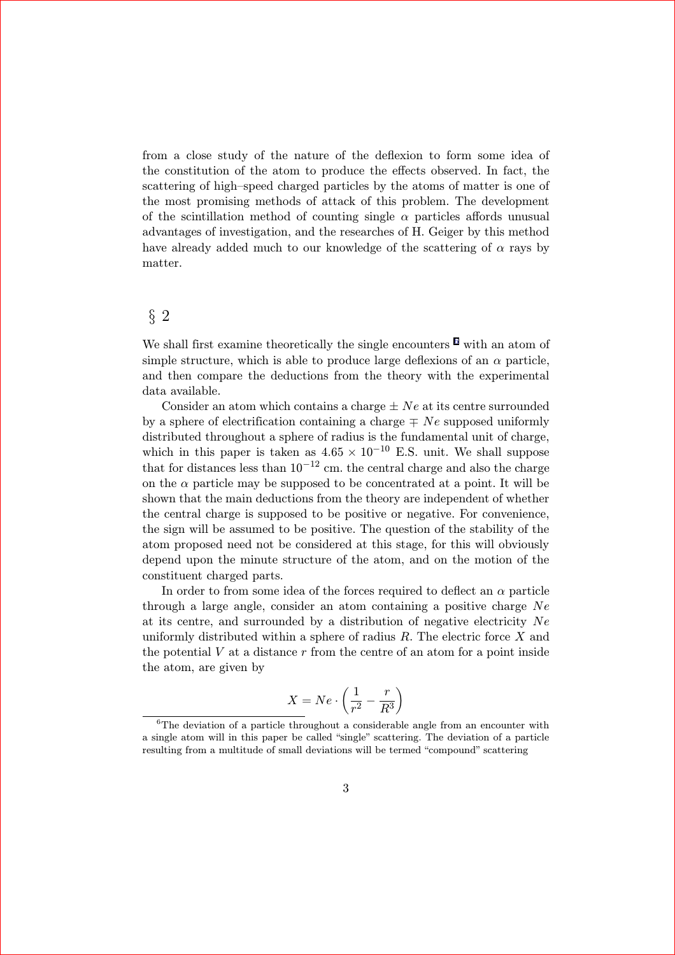from a close study of the nature of the deflexion to form some idea of the constitution of the atom to produce the effects observed. In fact, the scattering of high–speed charged particles by the atoms of matter is one of the most promising methods of attack of this problem. The development of the scintillation method of counting single  $\alpha$  particles affords unusual advantages of investigation, and the researches of H. Geiger by this method have already added much to our knowledge of the scattering of  $\alpha$  rays by matter.

### $\S$  2

We shall first examine theoretically the single encounters  $6$  with an atom of simple structure, which is able to produce large deflexions of an  $\alpha$  particle, and then compare the deductions from the theory with the experimental data available.

Consider an atom which contains a charge  $\pm Ne$  at its centre surrounded by a sphere of electrification containing a charge  $\mp$  Ne supposed uniformly distributed throughout a sphere of radius is the fundamental unit of charge, which in this paper is taken as  $4.65 \times 10^{-10}$  E.S. unit. We shall suppose that for distances less than  $10^{-12}$  cm. the central charge and also the charge on the  $\alpha$  particle may be supposed to be concentrated at a point. It will be shown that the main deductions from the theory are independent of whether the central charge is supposed to be positive or negative. For convenience, the sign will be assumed to be positive. The question of the stability of the atom proposed need not be considered at this stage, for this will obviously depend upon the minute structure of the atom, and on the motion of the constituent charged parts.

In order to from some idea of the forces required to deflect an  $\alpha$  particle through a large angle, consider an atom containing a positive charge Ne at its centre, and surrounded by a distribution of negative electricity Ne uniformly distributed within a sphere of radius  $R$ . The electric force  $X$  and the potential  $V$  at a distance  $r$  from the centre of an atom for a point inside the atom, are given by

$$
X = Ne \cdot \left(\frac{1}{r^2} - \frac{r}{R^3}\right)
$$

<span id="page-2-0"></span> ${}^{6}$ The deviation of a particle throughout a considerable angle from an encounter with a single atom will in this paper be called "single" scattering. The deviation of a particle resulting from a multitude of small deviations will be termed "compound" scattering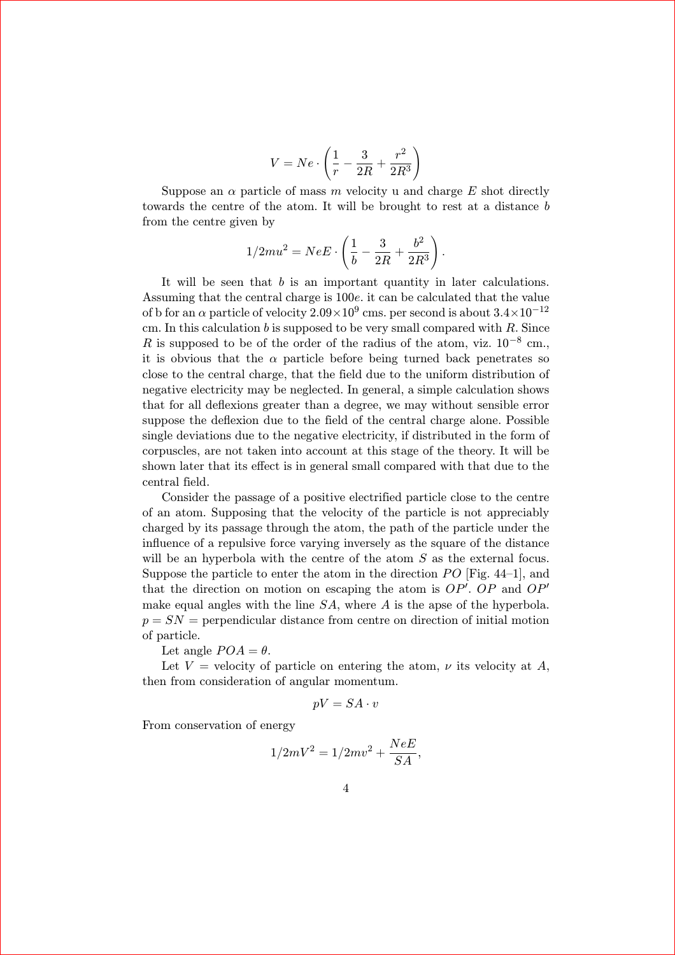$$
V = Ne\cdot \left(\frac{1}{r}-\frac{3}{2R}+\frac{r^2}{2R^3}\right)
$$

Suppose an  $\alpha$  particle of mass m velocity u and charge E shot directly towards the centre of the atom. It will be brought to rest at a distance b from the centre given by

$$
1/2mu^2 = NeE \cdot \left(\frac{1}{b} - \frac{3}{2R} + \frac{b^2}{2R^3}\right).
$$

It will be seen that  $b$  is an important quantity in later calculations. Assuming that the central charge is 100e. it can be calculated that the value of b for an  $\alpha$  particle of velocity  $2.09 \times 10^9$  cms. per second is about  $3.4 \times 10^{-12}$ cm. In this calculation  $b$  is supposed to be very small compared with  $R$ . Since R is supposed to be of the order of the radius of the atom, viz.  $10^{-8}$  cm., it is obvious that the  $\alpha$  particle before being turned back penetrates so close to the central charge, that the field due to the uniform distribution of negative electricity may be neglected. In general, a simple calculation shows that for all deflexions greater than a degree, we may without sensible error suppose the deflexion due to the field of the central charge alone. Possible single deviations due to the negative electricity, if distributed in the form of corpuscles, are not taken into account at this stage of the theory. It will be shown later that its effect is in general small compared with that due to the central field.

Consider the passage of a positive electrified particle close to the centre of an atom. Supposing that the velocity of the particle is not appreciably charged by its passage through the atom, the path of the particle under the influence of a repulsive force varying inversely as the square of the distance will be an hyperbola with the centre of the atom S as the external focus. Suppose the particle to enter the atom in the direction  $PO$  [Fig. 44–1], and that the direction on motion on escaping the atom is  $OP'$ . OP and  $OP'$ make equal angles with the line SA, where A is the apse of the hyperbola.  $p = SN$  = perpendicular distance from centre on direction of initial motion of particle.

Let angle  $POA = \theta$ .

Let  $V =$  velocity of particle on entering the atom,  $\nu$  its velocity at A, then from consideration of angular momentum.

$$
pV = SA \cdot v
$$

From conservation of energy

$$
1/2mV^2 = 1/2mv^2 + \frac{NeE}{SA},
$$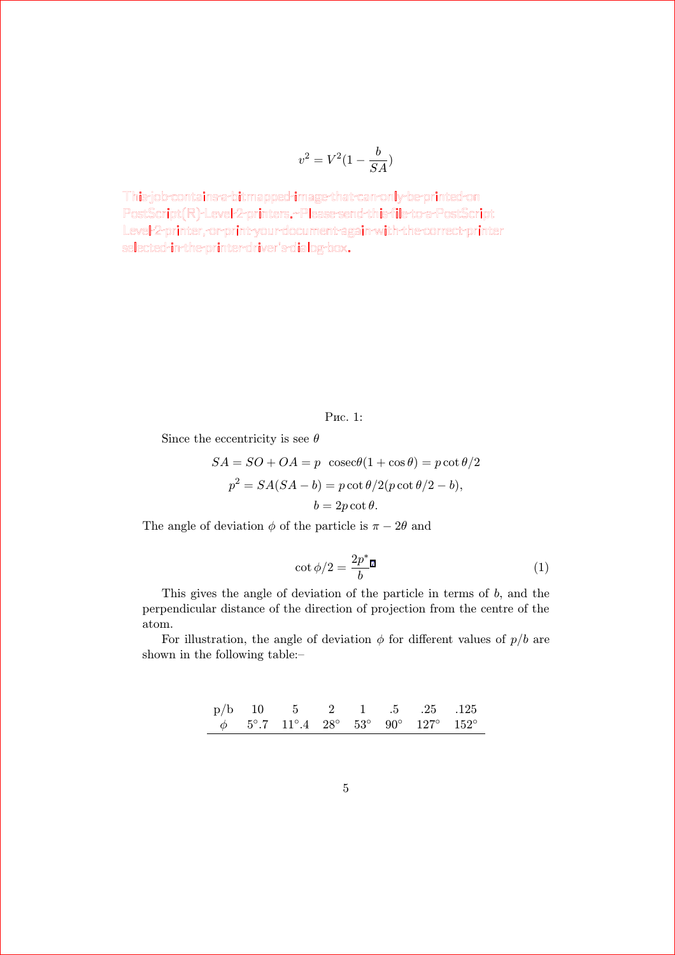$$
v^2 = V^2(1 - \frac{b}{SA})
$$

This-job-contains-a-bitmapped-image-that-can-only-be-printed-on PostScript(R)-Level-2-printers.~Please-send-this-file-to-a-PostScript Level-2-printer,-or-print-your-document-again-with-the-correct-printer selected-in-the-printer-driver's-dialog-box.

Рис. 1:

Since the eccentricity is see  $\theta$ 

$$
SA = SO + OA = p \csc \theta (1 + \cos \theta) = p \cot \theta/2
$$

$$
p^2 = SA(SA - b) = p \cot \theta/2 (p \cot \theta/2 - b),
$$

$$
b = 2p \cot \theta.
$$

The angle of deviation  $\phi$  of the particle is  $\pi - 2\theta$  and

$$
\cot \phi/2 = \frac{2p^*}{b}\tag{1}
$$

This gives the angle of deviation of the particle in terms of  $b$ , and the perpendicular distance of the direction of projection from the centre of the atom.

For illustration, the angle of deviation  $\phi$  for different values of  $p/b$  are shown in the following table:–

|  | $p/b$ 10 5 2 1 .5 .25 .125              |  |  |  |
|--|-----------------------------------------|--|--|--|
|  | $\phi$ 5°.7 11°.4 28° 53° 90° 127° 152° |  |  |  |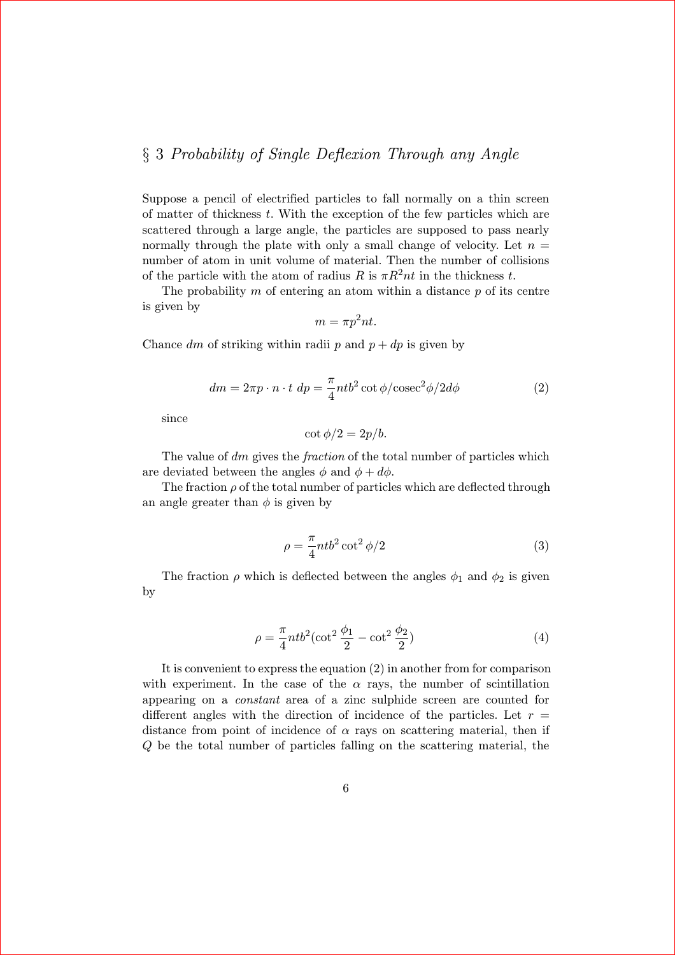### § 3 Probability of Single Deflexion Through any Angle

Suppose a pencil of electrified particles to fall normally on a thin screen of matter of thickness  $t$ . With the exception of the few particles which are scattered through a large angle, the particles are supposed to pass nearly normally through the plate with only a small change of velocity. Let  $n =$ number of atom in unit volume of material. Then the number of collisions of the particle with the atom of radius R is  $\pi R^2nt$  in the thickness t.

The probability  $m$  of entering an atom within a distance  $p$  of its centre is given by

$$
m = \pi p^2 n t.
$$

Chance dm of striking within radii p and  $p + dp$  is given by

$$
dm = 2\pi p \cdot n \cdot t \, dp = \frac{\pi}{4} n t b^2 \cot \phi / \csc^2 \phi / 2d\phi \tag{2}
$$

since

$$
\cot \phi/2 = 2p/b.
$$

The value of dm gives the fraction of the total number of particles which are deviated between the angles  $\phi$  and  $\phi + d\phi$ .

The fraction  $\rho$  of the total number of particles which are deflected through an angle greater than  $\phi$  is given by

$$
\rho = \frac{\pi}{4}ntb^2 \cot^2 \phi/2 \tag{3}
$$

The fraction  $\rho$  which is deflected between the angles  $\phi_1$  and  $\phi_2$  is given by

$$
\rho = \frac{\pi}{4} n t b^2 (\cot^2 \frac{\phi_1}{2} - \cot^2 \frac{\phi_2}{2})
$$
\n(4)

It is convenient to express the equation (2) in another from for comparison with experiment. In the case of the  $\alpha$  rays, the number of scintillation appearing on a constant area of a zinc sulphide screen are counted for different angles with the direction of incidence of the particles. Let  $r =$ distance from point of incidence of  $\alpha$  rays on scattering material, then if Q be the total number of particles falling on the scattering material, the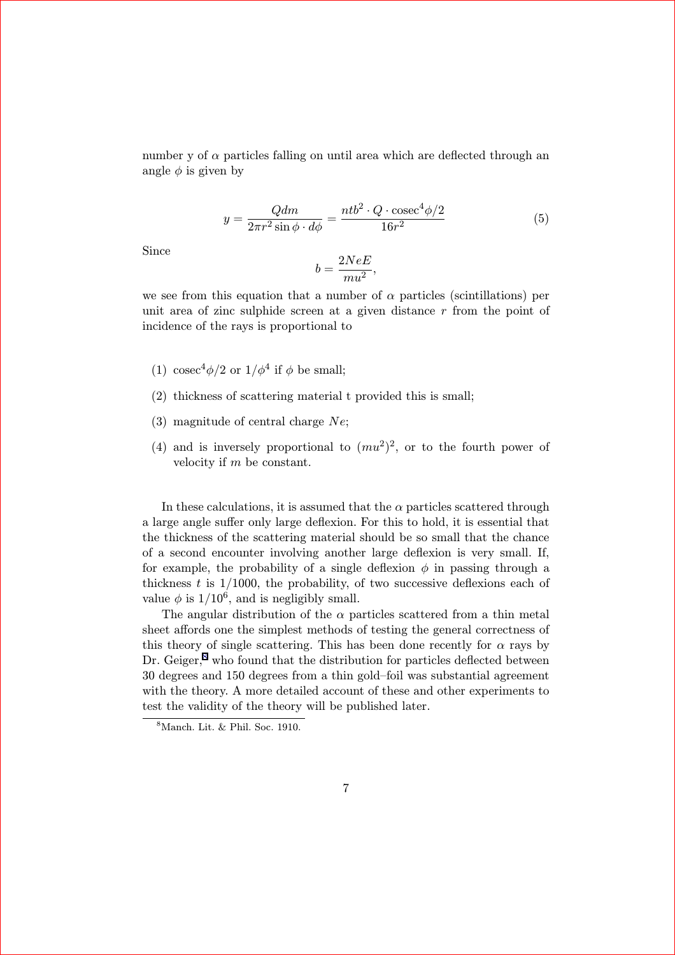number y of  $\alpha$  particles falling on until area which are deflected through an angle  $\phi$  is given by

$$
y = \frac{Qdm}{2\pi r^2 \sin \phi \cdot d\phi} = \frac{ntb^2 \cdot Q \cdot \csc^4 \phi/2}{16r^2} \tag{5}
$$

Since

$$
b=\frac{2NeE}{mu^2},
$$

we see from this equation that a number of  $\alpha$  particles (scintillations) per unit area of zinc sulphide screen at a given distance  $r$  from the point of incidence of the rays is proportional to

- (1)  $\csc^4\phi/2$  or  $1/\phi^4$  if  $\phi$  be small;
- (2) thickness of scattering material t provided this is small;
- (3) magnitude of central charge  $Ne$ ;
- (4) and is inversely proportional to  $(mu^2)^2$ , or to the fourth power of velocity if m be constant.

In these calculations, it is assumed that the  $\alpha$  particles scattered through a large angle suffer only large deflexion. For this to hold, it is essential that the thickness of the scattering material should be so small that the chance of a second encounter involving another large deflexion is very small. If, for example, the probability of a single deflexion  $\phi$  in passing through a thickness  $t$  is  $1/1000$ , the probability, of two successive deflexions each of value  $\phi$  is  $1/10^6$ , and is negligibly small.

The angular distribution of the  $\alpha$  particles scattered from a thin metal sheet affords one the simplest methods of testing the general correctness of this theory of single scattering. This has been done recently for  $\alpha$  rays by Dr. Geiger, $8$  who found that the distribution for particles deflected between 30 degrees and 150 degrees from a thin gold–foil was substantial agreement with the theory. A more detailed account of these and other experiments to test the validity of the theory will be published later.

<span id="page-6-0"></span><sup>8</sup>Manch. Lit. & Phil. Soc. 1910.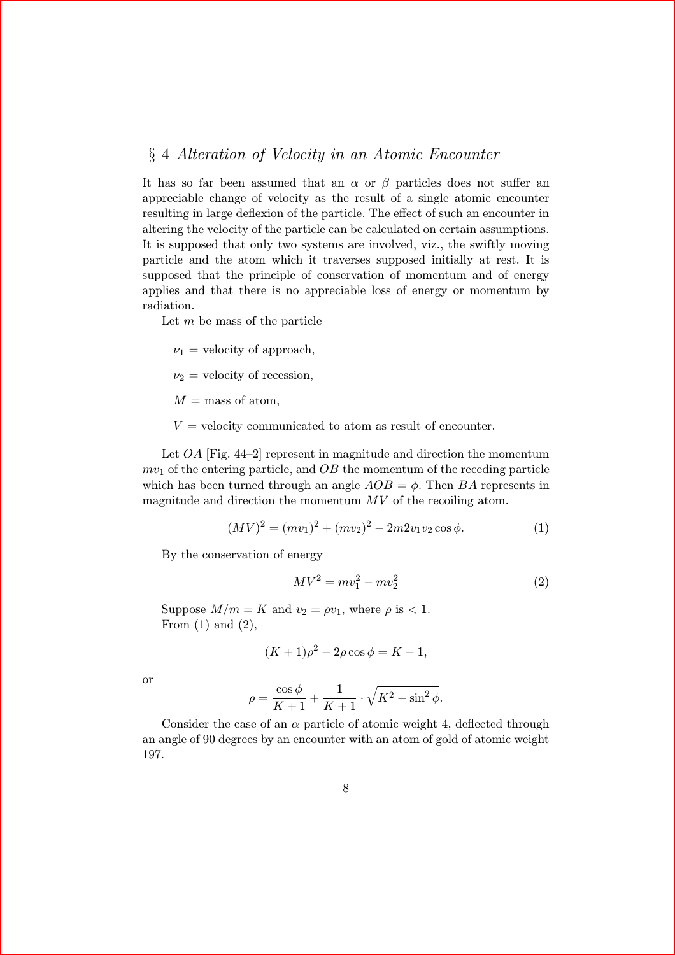#### § 4 Alteration of Velocity in an Atomic Encounter

It has so far been assumed that an  $\alpha$  or  $\beta$  particles does not suffer an appreciable change of velocity as the result of a single atomic encounter resulting in large deflexion of the particle. The effect of such an encounter in altering the velocity of the particle can be calculated on certain assumptions. It is supposed that only two systems are involved, viz., the swiftly moving particle and the atom which it traverses supposed initially at rest. It is supposed that the principle of conservation of momentum and of energy applies and that there is no appreciable loss of energy or momentum by radiation.

Let  $m$  be mass of the particle

- $\nu_1$  = velocity of approach,
- $\nu_2$  = velocity of recession,
- $M =$  mass of atom,
- $V =$  velocity communicated to atom as result of encounter.

Let OA [Fig. 44–2] represent in magnitude and direction the momentum  $mv_1$  of the entering particle, and  $OB$  the momentum of the receding particle which has been turned through an angle  $AOB = \phi$ . Then BA represents in magnitude and direction the momentum  $MV$  of the recoiling atom.

$$
(MV)^{2} = (mv_{1})^{2} + (mv_{2})^{2} - 2m2v_{1}v_{2}\cos\phi.
$$
 (1)

By the conservation of energy

$$
MV^2 = mv_1^2 - mv_2^2 \tag{2}
$$

Suppose  $M/m = K$  and  $v_2 = \rho v_1$ , where  $\rho$  is < 1. From  $(1)$  and  $(2)$ ,

$$
(K+1)\rho^2 - 2\rho\cos\phi = K - 1,
$$

or

$$
\rho = \frac{\cos \phi}{K+1} + \frac{1}{K+1} \cdot \sqrt{K^2 - \sin^2 \phi}.
$$

Consider the case of an  $\alpha$  particle of atomic weight 4, deflected through an angle of 90 degrees by an encounter with an atom of gold of atomic weight 197.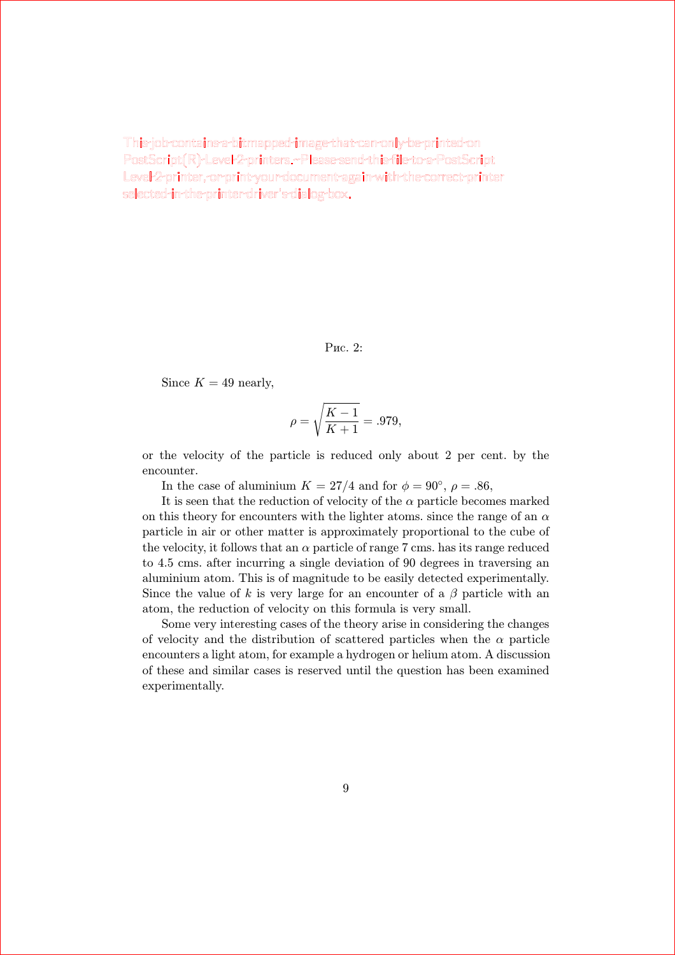This-job-contains-a-bitmapped-image-that-can-only-be-printed-on PostScript(R)-Level-2-printers.~Please-send-this-file-to-a-PostScript Level-2-printer,-or-print-your-document-again-with-the-correct-printer selected-in-the-printer-driver's-dialog-box.

Рис. 2:

Since  $K = 49$  nearly,

$$
\rho = \sqrt{\frac{K-1}{K+1}} = .979,
$$

or the velocity of the particle is reduced only about 2 per cent. by the encounter.

In the case of aluminium  $K = 27/4$  and for  $\phi = 90^{\circ}$ ,  $\rho = .86$ ,

It is seen that the reduction of velocity of the  $\alpha$  particle becomes marked on this theory for encounters with the lighter atoms. since the range of an  $\alpha$ particle in air or other matter is approximately proportional to the cube of the velocity, it follows that an  $\alpha$  particle of range 7 cms. has its range reduced to 4.5 cms. after incurring a single deviation of 90 degrees in traversing an aluminium atom. This is of magnitude to be easily detected experimentally. Since the value of k is very large for an encounter of a  $\beta$  particle with an atom, the reduction of velocity on this formula is very small.

Some very interesting cases of the theory arise in considering the changes of velocity and the distribution of scattered particles when the  $\alpha$  particle encounters a light atom, for example a hydrogen or helium atom. A discussion of these and similar cases is reserved until the question has been examined experimentally.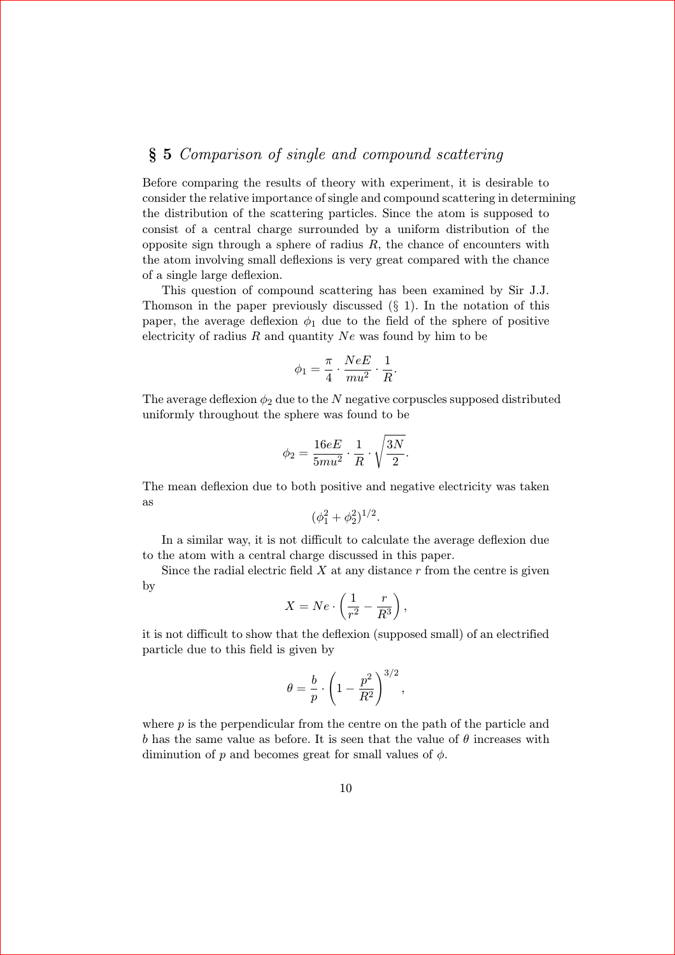### § 5 Comparison of single and compound scattering

Before comparing the results of theory with experiment, it is desirable to consider the relative importance of single and compound scattering in determining the distribution of the scattering particles. Since the atom is supposed to consist of a central charge surrounded by a uniform distribution of the opposite sign through a sphere of radius  $R$ , the chance of encounters with the atom involving small deflexions is very great compared with the chance of a single large deflexion.

This question of compound scattering has been examined by Sir J.J. Thomson in the paper previously discussed  $(\S 1)$ . In the notation of this paper, the average deflexion  $\phi_1$  due to the field of the sphere of positive electricity of radius  $R$  and quantity  $Ne$  was found by him to be

$$
\phi_1 = \frac{\pi}{4} \cdot \frac{NeE}{mu^2} \cdot \frac{1}{R}.
$$

The average deflexion  $\phi_2$  due to the N negative corpuscles supposed distributed uniformly throughout the sphere was found to be

$$
\phi_2 = \frac{16eE}{5mu^2} \cdot \frac{1}{R} \cdot \sqrt{\frac{3N}{2}}.
$$

The mean deflexion due to both positive and negative electricity was taken as

$$
(\phi_1^2 + \phi_2^2)^{1/2}.
$$

In a similar way, it is not difficult to calculate the average deflexion due to the atom with a central charge discussed in this paper.

Since the radial electric field  $X$  at any distance  $r$  from the centre is given by

$$
X = Ne \cdot \left(\frac{1}{r^2} - \frac{r}{R^3}\right),\,
$$

it is not difficult to show that the deflexion (supposed small) of an electrified particle due to this field is given by

$$
\theta = \frac{b}{p} \cdot \left(1 - \frac{p^2}{R^2}\right)^{3/2},
$$

where  $p$  is the perpendicular from the centre on the path of the particle and b has the same value as before. It is seen that the value of  $\theta$  increases with diminution of p and becomes great for small values of  $\phi$ .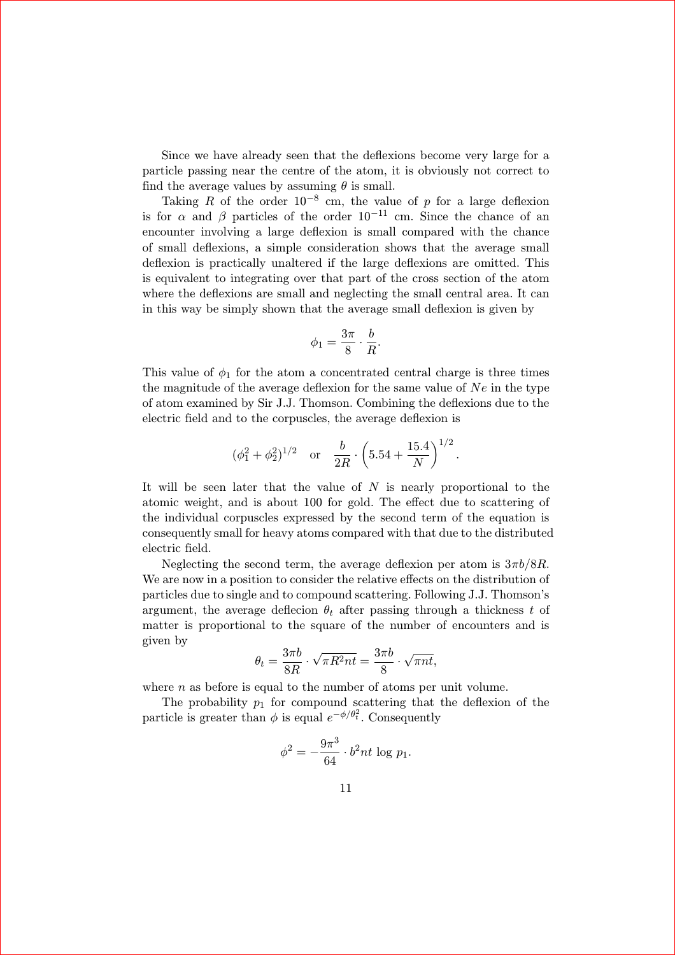Since we have already seen that the deflexions become very large for a particle passing near the centre of the atom, it is obviously not correct to find the average values by assuming  $\theta$  is small.

Taking R of the order  $10^{-8}$  cm, the value of p for a large deflexion is for  $\alpha$  and  $\beta$  particles of the order 10<sup>-11</sup> cm. Since the chance of an encounter involving a large deflexion is small compared with the chance of small deflexions, a simple consideration shows that the average small deflexion is practically unaltered if the large deflexions are omitted. This is equivalent to integrating over that part of the cross section of the atom where the deflexions are small and neglecting the small central area. It can in this way be simply shown that the average small deflexion is given by

$$
\phi_1 = \frac{3\pi}{8} \cdot \frac{b}{R}.
$$

This value of  $\phi_1$  for the atom a concentrated central charge is three times the magnitude of the average deflexion for the same value of  $Ne$  in the type of atom examined by Sir J.J. Thomson. Combining the deflexions due to the electric field and to the corpuscles, the average deflexion is

$$
(\phi_1^2 + \phi_2^2)^{1/2}
$$
 or  $\frac{b}{2R} \cdot \left(5.54 + \frac{15.4}{N}\right)^{1/2}$ .

It will be seen later that the value of  $N$  is nearly proportional to the atomic weight, and is about 100 for gold. The effect due to scattering of the individual corpuscles expressed by the second term of the equation is consequently small for heavy atoms compared with that due to the distributed electric field.

Neglecting the second term, the average deflexion per atom is  $3\pi b/8R$ . We are now in a position to consider the relative effects on the distribution of particles due to single and to compound scattering. Following J.J. Thomson's argument, the average deflecion  $\theta_t$  after passing through a thickness t of matter is proportional to the square of the number of encounters and is given by

$$
\theta_t = \frac{3\pi b}{8R} \cdot \sqrt{\pi R^2 nt} = \frac{3\pi b}{8} \cdot \sqrt{\pi nt},
$$

where  $n$  as before is equal to the number of atoms per unit volume.

The probability  $p_1$  for compound scattering that the deflexion of the particle is greater than  $\phi$  is equal  $e^{-\phi/\theta_t^2}$ . Consequently

$$
\phi^2=-\frac{9\pi^3}{64}\cdot b^2nt\,\log\,p_1.
$$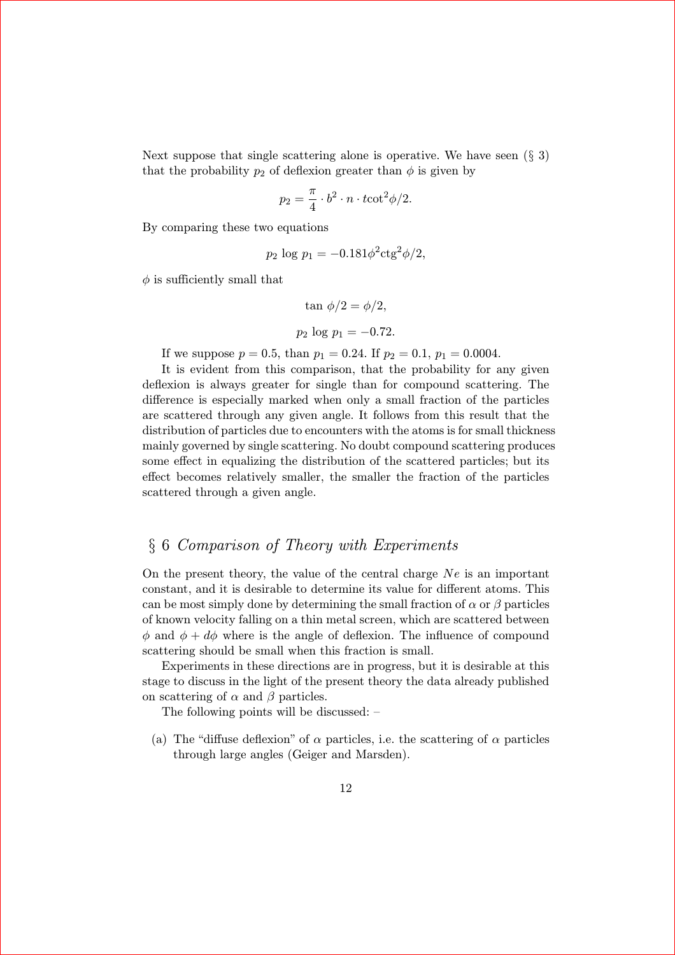Next suppose that single scattering alone is operative. We have seen  $(\S 3)$ that the probability  $p_2$  of deflexion greater than  $\phi$  is given by

$$
p_2 = \frac{\pi}{4} \cdot b^2 \cdot n \cdot t \cot^2 \phi / 2.
$$

By comparing these two equations

$$
p_2 \log p_1 = -0.181 \phi^2 \text{ctg}^2 \phi / 2,
$$

 $\phi$  is sufficiently small that

$$
\tan \phi/2 = \phi/2,
$$

$$
p_2 \log p_1 = -0.72.
$$

If we suppose  $p = 0.5$ , than  $p_1 = 0.24$ . If  $p_2 = 0.1$ ,  $p_1 = 0.0004$ .

It is evident from this comparison, that the probability for any given deflexion is always greater for single than for compound scattering. The difference is especially marked when only a small fraction of the particles are scattered through any given angle. It follows from this result that the distribution of particles due to encounters with the atoms is for small thickness mainly governed by single scattering. No doubt compound scattering produces some effect in equalizing the distribution of the scattered particles; but its effect becomes relatively smaller, the smaller the fraction of the particles scattered through a given angle.

## § 6 Comparison of Theory with Experiments

On the present theory, the value of the central charge  $Ne$  is an important constant, and it is desirable to determine its value for different atoms. This can be most simply done by determining the small fraction of  $\alpha$  or  $\beta$  particles of known velocity falling on a thin metal screen, which are scattered between  $\phi$  and  $\phi + d\phi$  where is the angle of deflexion. The influence of compound scattering should be small when this fraction is small.

Experiments in these directions are in progress, but it is desirable at this stage to discuss in the light of the present theory the data already published on scattering of  $\alpha$  and  $\beta$  particles.

The following points will be discussed: –

(a) The "diffuse deflexion" of  $\alpha$  particles, i.e. the scattering of  $\alpha$  particles through large angles (Geiger and Marsden).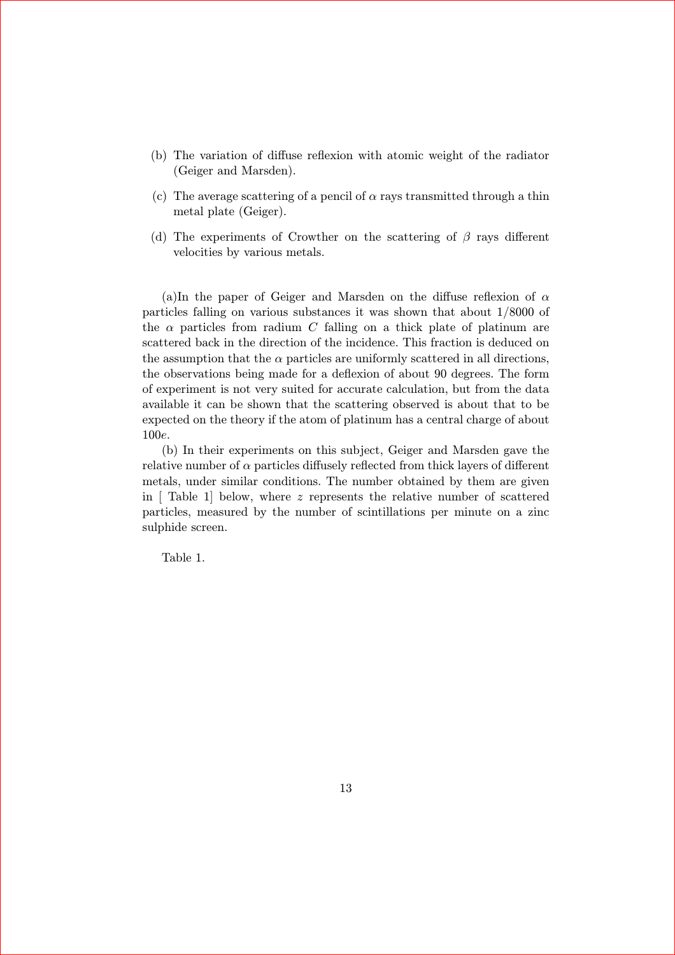- (b) The variation of diffuse reflexion with atomic weight of the radiator (Geiger and Marsden).
- (c) The average scattering of a pencil of  $\alpha$  rays transmitted through a thin metal plate (Geiger).
- (d) The experiments of Crowther on the scattering of  $\beta$  rays different velocities by various metals.

(a)In the paper of Geiger and Marsden on the diffuse reflexion of  $\alpha$ particles falling on various substances it was shown that about 1/8000 of the  $\alpha$  particles from radium C falling on a thick plate of platinum are scattered back in the direction of the incidence. This fraction is deduced on the assumption that the  $\alpha$  particles are uniformly scattered in all directions, the observations being made for a deflexion of about 90 degrees. The form of experiment is not very suited for accurate calculation, but from the data available it can be shown that the scattering observed is about that to be expected on the theory if the atom of platinum has a central charge of about 100e.

(b) In their experiments on this subject, Geiger and Marsden gave the relative number of  $\alpha$  particles diffusely reflected from thick layers of different metals, under similar conditions. The number obtained by them are given in  $\lceil$  Table 1 $\rceil$  below, where z represents the relative number of scattered particles, measured by the number of scintillations per minute on a zinc sulphide screen.

Table 1.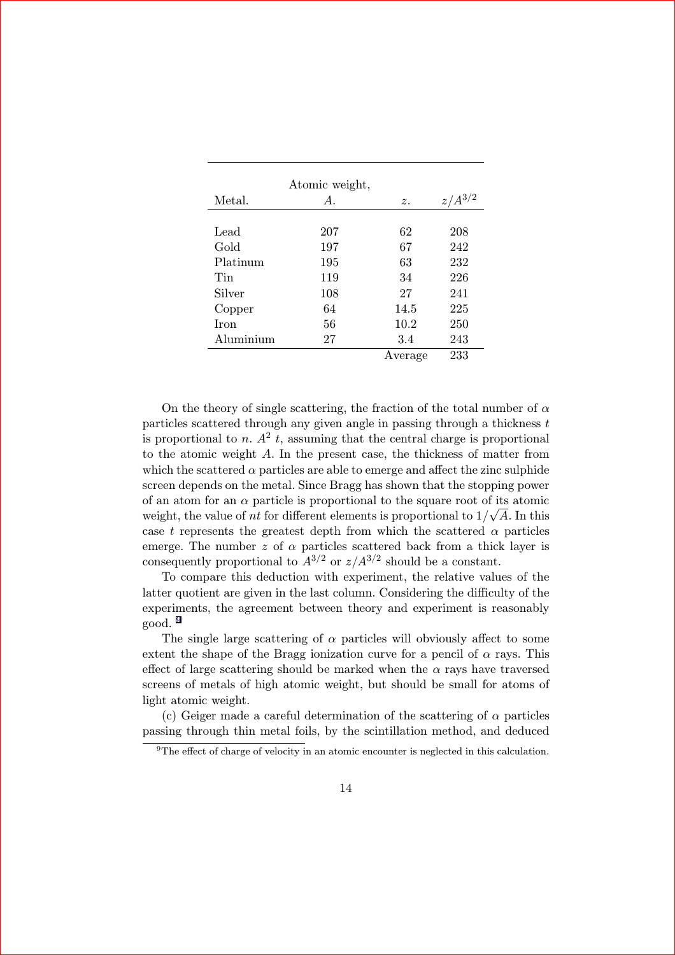|           | Atomic weight,  |               |             |
|-----------|-----------------|---------------|-------------|
| Metal.    | $\mathcal{A}$ . | $\tilde{z}$ . | $z/A^{3/2}$ |
|           |                 |               |             |
| Lead      | 207             | 62            | 208         |
| Gold      | 197             | 67            | 242         |
| Platinum  | 195             | 63            | 232         |
| Tin       | 119             | 34            | 226         |
| Silver    | 108             | 27            | 241         |
| Copper    | 64              | 14.5          | 225         |
| Iron      | 56              | 10.2          | 250         |
| Aluminium | 27              | 3.4           | 243         |
|           |                 | Average       | 233         |

On the theory of single scattering, the fraction of the total number of  $\alpha$ particles scattered through any given angle in passing through a thickness  $t$ is proportional to n.  $A^2$  t, assuming that the central charge is proportional to the atomic weight A. In the present case, the thickness of matter from which the scattered  $\alpha$  particles are able to emerge and affect the zinc sulphide screen depends on the metal. Since Bragg has shown that the stopping power of an atom for an  $\alpha$  particle is proportional to the square root of its atomic weight, the value of *nt* for different elements is proportional to  $1/\sqrt{A}$ . In this case t represents the greatest depth from which the scattered  $\alpha$  particles emerge. The number z of  $\alpha$  particles scattered back from a thick layer is consequently proportional to  $A^{3/2}$  or  $z/A^{3/2}$  should be a constant.

To compare this deduction with experiment, the relative values of the latter quotient are given in the last column. Considering the difficulty of the experiments, the agreement between theory and experiment is reasonably good. [9](#page-13-0)

The single large scattering of  $\alpha$  particles will obviously affect to some extent the shape of the Bragg ionization curve for a pencil of  $\alpha$  rays. This effect of large scattering should be marked when the  $\alpha$  rays have traversed screens of metals of high atomic weight, but should be small for atoms of light atomic weight.

(c) Geiger made a careful determination of the scattering of  $\alpha$  particles passing through thin metal foils, by the scintillation method, and deduced

<span id="page-13-0"></span> $9$ The effect of charge of velocity in an atomic encounter is neglected in this calculation.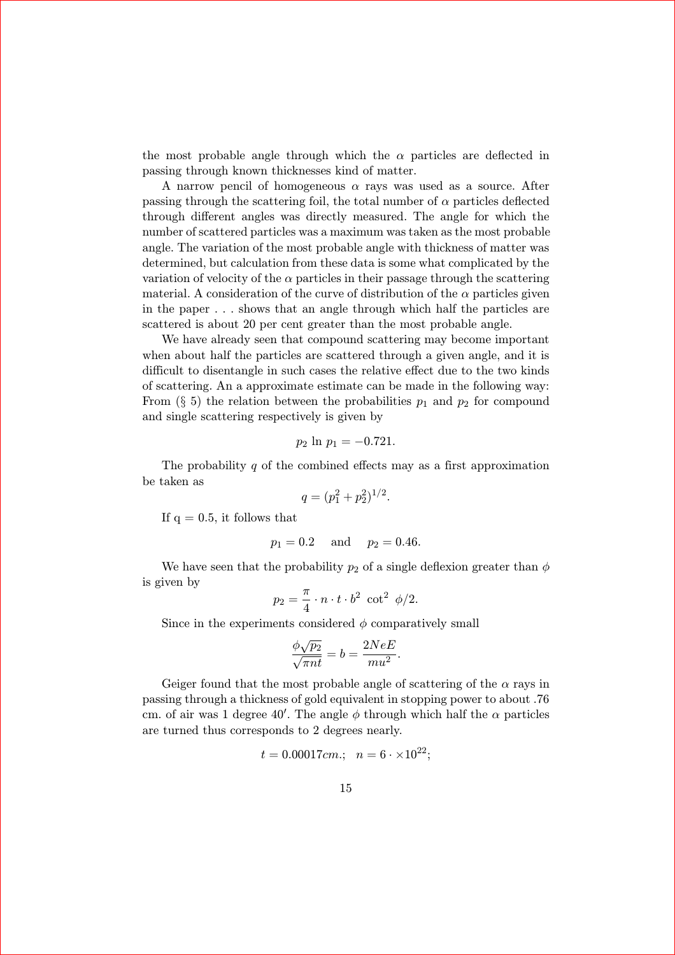the most probable angle through which the  $\alpha$  particles are deflected in passing through known thicknesses kind of matter.

A narrow pencil of homogeneous  $\alpha$  rays was used as a source. After passing through the scattering foil, the total number of  $\alpha$  particles deflected through different angles was directly measured. The angle for which the number of scattered particles was a maximum was taken as the most probable angle. The variation of the most probable angle with thickness of matter was determined, but calculation from these data is some what complicated by the variation of velocity of the  $\alpha$  particles in their passage through the scattering material. A consideration of the curve of distribution of the  $\alpha$  particles given in the paper . . . shows that an angle through which half the particles are scattered is about 20 per cent greater than the most probable angle.

We have already seen that compound scattering may become important when about half the particles are scattered through a given angle, and it is difficult to disentangle in such cases the relative effect due to the two kinds of scattering. An a approximate estimate can be made in the following way: From  $(\S 5)$  the relation between the probabilities  $p_1$  and  $p_2$  for compound and single scattering respectively is given by

$$
p_2 \ln p_1 = -0.721.
$$

The probability  $q$  of the combined effects may as a first approximation be taken as

$$
q = (p_1^2 + p_2^2)^{1/2}.
$$

If  $q = 0.5$ , it follows that

$$
p_1 = 0.2
$$
 and  $p_2 = 0.46$ .

We have seen that the probability  $p_2$  of a single deflexion greater than  $\phi$ is given by

$$
p_2 = \frac{\pi}{4} \cdot n \cdot t \cdot b^2 \cot^2 \phi/2.
$$

Since in the experiments considered  $\phi$  comparatively small

$$
\frac{\phi\sqrt{p_2}}{\sqrt{\pi n t}} = b = \frac{2NeE}{mu^2}.
$$

Geiger found that the most probable angle of scattering of the  $\alpha$  rays in passing through a thickness of gold equivalent in stopping power to about .76 cm. of air was 1 degree 40'. The angle  $\phi$  through which half the  $\alpha$  particles are turned thus corresponds to 2 degrees nearly.

$$
t = 0.00017cm; \ \ n = 6 \cdot \times 10^{22};
$$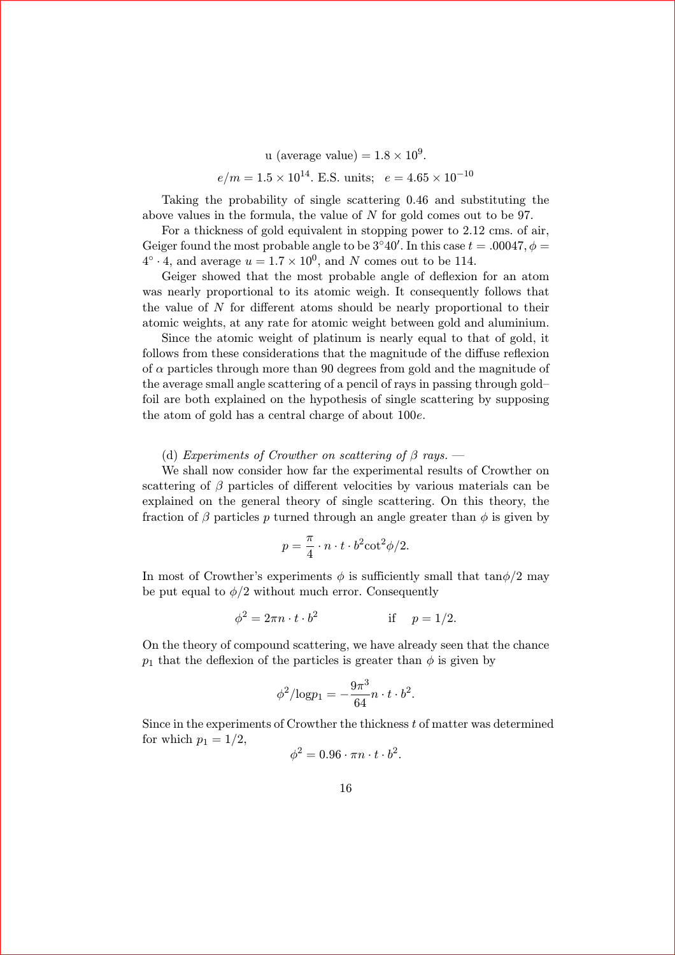u (average value) =  $1.8 \times 10^9$ .  $e/m = 1.5 \times 10^{14}$ . E.S. units;  $e = 4.65 \times 10^{-10}$ 

Taking the probability of single scattering 0.46 and substituting the above values in the formula, the value of N for gold comes out to be 97.

For a thickness of gold equivalent in stopping power to 2.12 cms. of air, Geiger found the most probable angle to be  $3°40'$ . In this case  $t = .00047, \phi =$  $4^\circ \cdot 4$ , and average  $u = 1.7 \times 10^0$ , and N comes out to be 114.

Geiger showed that the most probable angle of deflexion for an atom was nearly proportional to its atomic weigh. It consequently follows that the value of N for different atoms should be nearly proportional to their atomic weights, at any rate for atomic weight between gold and aluminium.

Since the atomic weight of platinum is nearly equal to that of gold, it follows from these considerations that the magnitude of the diffuse reflexion of  $\alpha$  particles through more than 90 degrees from gold and the magnitude of the average small angle scattering of a pencil of rays in passing through gold– foil are both explained on the hypothesis of single scattering by supposing the atom of gold has a central charge of about 100e.

#### (d) Experiments of Crowther on scattering of  $\beta$  rays. —

We shall now consider how far the experimental results of Crowther on scattering of  $\beta$  particles of different velocities by various materials can be explained on the general theory of single scattering. On this theory, the fraction of  $\beta$  particles p turned through an angle greater than  $\phi$  is given by

$$
p = \frac{\pi}{4} \cdot n \cdot t \cdot b^2 \cot^2 \phi / 2.
$$

In most of Crowther's experiments  $\phi$  is sufficiently small that  $tan \phi/2$  may be put equal to  $\phi/2$  without much error. Consequently

$$
\phi^2 = 2\pi n \cdot t \cdot b^2 \qquad \text{if} \qquad p = 1/2.
$$

On the theory of compound scattering, we have already seen that the chance  $p_1$  that the deflexion of the particles is greater than  $\phi$  is given by

$$
\phi^2/\text{log}p_1 = -\frac{9\pi^3}{64}n \cdot t \cdot b^2.
$$

Since in the experiments of Crowther the thickness  $t$  of matter was determined for which  $p_1 = 1/2$ ,

$$
\phi^2 = 0.96 \cdot \pi n \cdot t \cdot b^2.
$$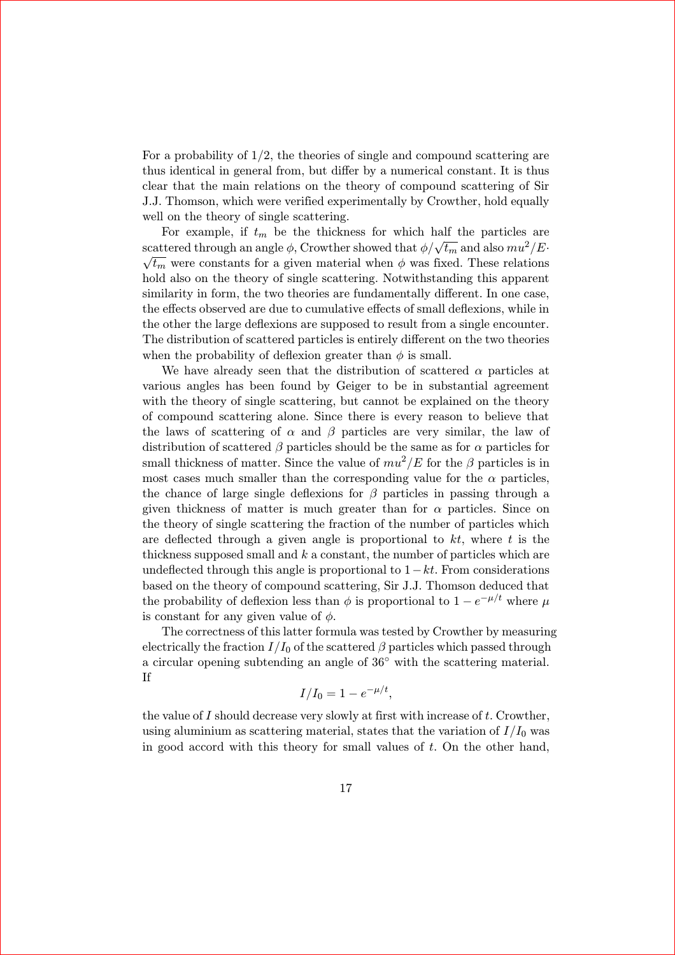For a probability of  $1/2$ , the theories of single and compound scattering are thus identical in general from, but differ by a numerical constant. It is thus clear that the main relations on the theory of compound scattering of Sir J.J. Thomson, which were verified experimentally by Crowther, hold equally well on the theory of single scattering.

For example, if  $t_m$  be the thickness for which half the particles are scattered through an angle  $\phi$ , Crowther showed that  $\phi/\sqrt{t_m}$  and also  $mu^2/E \cdot \sqrt{t_m}$  were constants for a given material when  $\phi$  was fixed. These relations hold also on the theory of single scattering. Notwithstanding this apparent similarity in form, the two theories are fundamentally different. In one case, the effects observed are due to cumulative effects of small deflexions, while in the other the large deflexions are supposed to result from a single encounter. The distribution of scattered particles is entirely different on the two theories when the probability of deflexion greater than  $\phi$  is small.

We have already seen that the distribution of scattered  $\alpha$  particles at various angles has been found by Geiger to be in substantial agreement with the theory of single scattering, but cannot be explained on the theory of compound scattering alone. Since there is every reason to believe that the laws of scattering of  $\alpha$  and  $\beta$  particles are very similar, the law of distribution of scattered  $\beta$  particles should be the same as for  $\alpha$  particles for small thickness of matter. Since the value of  $mu^2/E$  for the  $\beta$  particles is in most cases much smaller than the corresponding value for the  $\alpha$  particles, the chance of large single deflexions for  $\beta$  particles in passing through a given thickness of matter is much greater than for  $\alpha$  particles. Since on the theory of single scattering the fraction of the number of particles which are deflected through a given angle is proportional to  $kt$ , where  $t$  is the thickness supposed small and  $k$  a constant, the number of particles which are undeflected through this angle is proportional to  $1 - kt$ . From considerations based on the theory of compound scattering, Sir J.J. Thomson deduced that the probability of deflexion less than  $\phi$  is proportional to  $1 - e^{-\mu/t}$  where  $\mu$ is constant for any given value of  $\phi$ .

The correctness of this latter formula was tested by Crowther by measuring electrically the fraction  $I/I_0$  of the scattered  $\beta$  particles which passed through a circular opening subtending an angle of 36◦ with the scattering material. If

$$
I/I_0=1-e^{-\mu/t},
$$

the value of I should decrease very slowly at first with increase of  $t$ . Crowther, using aluminium as scattering material, states that the variation of  $I/I_0$  was in good accord with this theory for small values of  $t$ . On the other hand,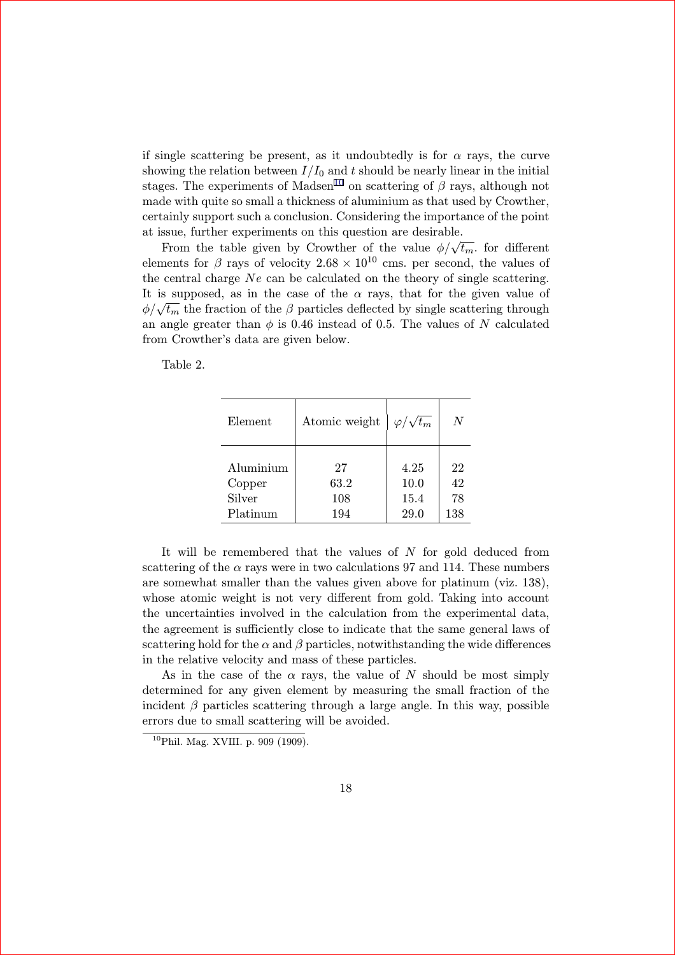if single scattering be present, as it undoubtedly is for  $\alpha$  rays, the curve showing the relation between  $I/I_0$  and t should be nearly linear in the initial stages. The experiments of Madsen<sup>[10](#page-17-0)</sup> on scattering of  $\beta$  rays, although not made with quite so small a thickness of aluminium as that used by Crowther, certainly support such a conclusion. Considering the importance of the point at issue, further experiments on this question are desirable.

From the table given by Crowther of the value  $\phi/\sqrt{t_m}$  for different elements for  $\beta$  rays of velocity  $2.68 \times 10^{10}$  cms. per second, the values of the central charge Ne can be calculated on the theory of single scattering. It is supposed, as in the case of the  $\alpha$  rays, that for the given value of  $\phi/\sqrt{t_m}$  the fraction of the  $\beta$  particles deflected by single scattering through an angle greater than  $\phi$  is 0.46 instead of 0.5. The values of N calculated from Crowther's data are given below.

Table 2.

| Element   | Atomic weight | $\varphi/\sqrt{t_m}$ | N   |
|-----------|---------------|----------------------|-----|
| Aluminium | 27            | 4.25                 | 22  |
| Copper    | 63.2          | 10.0                 | 42  |
| Silver    | 108           | 15.4                 | 78  |
| Platinum  | 194           | 29.0                 | 138 |

It will be remembered that the values of  $N$  for gold deduced from scattering of the  $\alpha$  rays were in two calculations 97 and 114. These numbers are somewhat smaller than the values given above for platinum (viz. 138), whose atomic weight is not very different from gold. Taking into account the uncertainties involved in the calculation from the experimental data, the agreement is sufficiently close to indicate that the same general laws of scattering hold for the  $\alpha$  and  $\beta$  particles, notwithstanding the wide differences in the relative velocity and mass of these particles.

As in the case of the  $\alpha$  rays, the value of N should be most simply determined for any given element by measuring the small fraction of the incident  $\beta$  particles scattering through a large angle. In this way, possible errors due to small scattering will be avoided.

<span id="page-17-0"></span><sup>10</sup>Phil. Mag. XVIII. p. 909 (1909).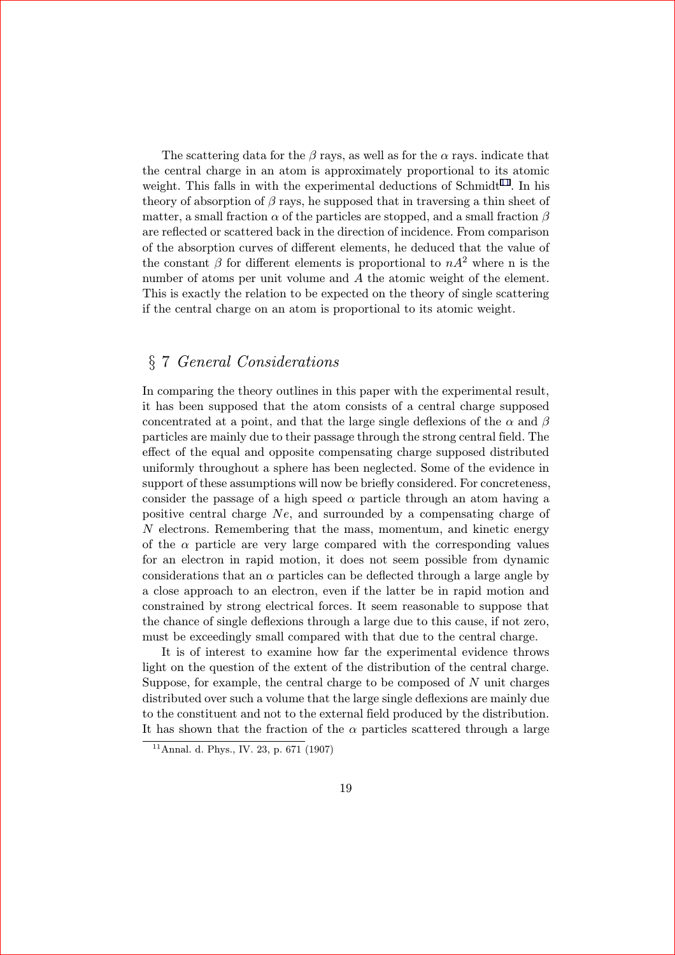The scattering data for the  $\beta$  rays, as well as for the  $\alpha$  rays. indicate that the central charge in an atom is approximately proportional to its atomic weight. This falls in with the experimental deductions of  $Schmidt<sup>11</sup>$  $Schmidt<sup>11</sup>$  $Schmidt<sup>11</sup>$ . In his theory of absorption of  $\beta$  rays, he supposed that in traversing a thin sheet of matter, a small fraction  $\alpha$  of the particles are stopped, and a small fraction  $\beta$ are reflected or scattered back in the direction of incidence. From comparison of the absorption curves of different elements, he deduced that the value of the constant  $\beta$  for different elements is proportional to  $nA^2$  where n is the number of atoms per unit volume and A the atomic weight of the element. This is exactly the relation to be expected on the theory of single scattering if the central charge on an atom is proportional to its atomic weight.

# § 7 General Considerations

In comparing the theory outlines in this paper with the experimental result, it has been supposed that the atom consists of a central charge supposed concentrated at a point, and that the large single deflexions of the  $\alpha$  and  $\beta$ particles are mainly due to their passage through the strong central field. The effect of the equal and opposite compensating charge supposed distributed uniformly throughout a sphere has been neglected. Some of the evidence in support of these assumptions will now be briefly considered. For concreteness, consider the passage of a high speed  $\alpha$  particle through an atom having a positive central charge Ne, and surrounded by a compensating charge of  $N$  electrons. Remembering that the mass, momentum, and kinetic energy of the  $\alpha$  particle are very large compared with the corresponding values for an electron in rapid motion, it does not seem possible from dynamic considerations that an  $\alpha$  particles can be deflected through a large angle by a close approach to an electron, even if the latter be in rapid motion and constrained by strong electrical forces. It seem reasonable to suppose that the chance of single deflexions through a large due to this cause, if not zero, must be exceedingly small compared with that due to the central charge.

It is of interest to examine how far the experimental evidence throws light on the question of the extent of the distribution of the central charge. Suppose, for example, the central charge to be composed of N unit charges distributed over such a volume that the large single deflexions are mainly due to the constituent and not to the external field produced by the distribution. It has shown that the fraction of the  $\alpha$  particles scattered through a large

<span id="page-18-0"></span><sup>11</sup>Annal. d. Phys., IV. 23, p. 671 (1907)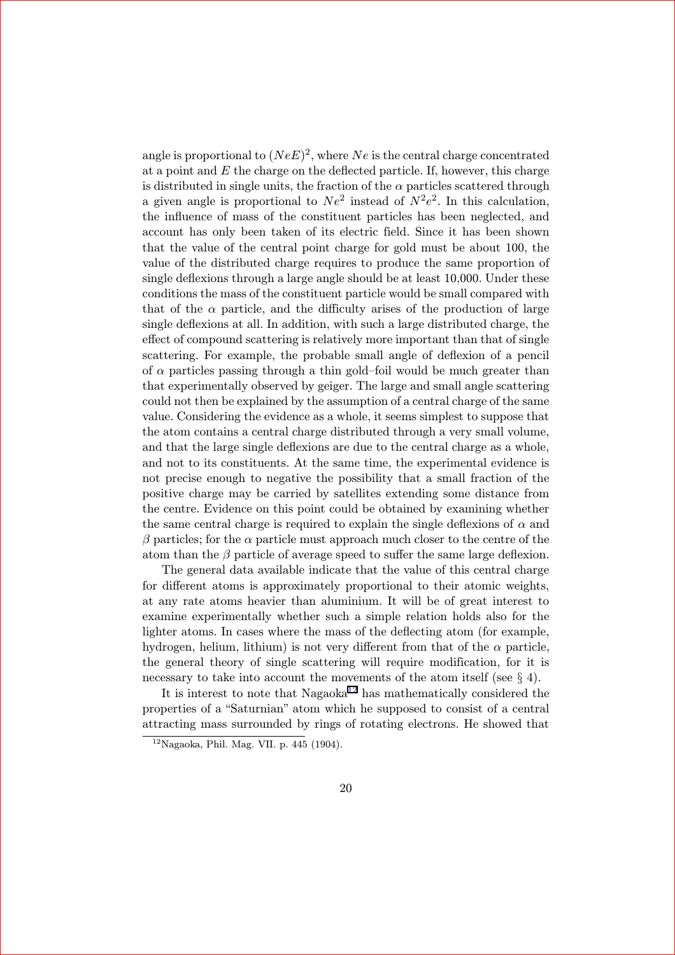angle is proportional to  $(NeE)^2$ , where Ne is the central charge concentrated at a point and  $E$  the charge on the deflected particle. If, however, this charge is distributed in single units, the fraction of the  $\alpha$  particles scattered through a given angle is proportional to  $Ne^2$  instead of  $N^2e^2$ . In this calculation, the influence of mass of the constituent particles has been neglected, and account has only been taken of its electric field. Since it has been shown that the value of the central point charge for gold must be about 100, the value of the distributed charge requires to produce the same proportion of single deflexions through a large angle should be at least 10,000. Under these conditions the mass of the constituent particle would be small compared with that of the  $\alpha$  particle, and the difficulty arises of the production of large single deflexions at all. In addition, with such a large distributed charge, the effect of compound scattering is relatively more important than that of single scattering. For example, the probable small angle of deflexion of a pencil of  $\alpha$  particles passing through a thin gold–foil would be much greater than that experimentally observed by geiger. The large and small angle scattering could not then be explained by the assumption of a central charge of the same value. Considering the evidence as a whole, it seems simplest to suppose that the atom contains a central charge distributed through a very small volume, and that the large single deflexions are due to the central charge as a whole, and not to its constituents. At the same time, the experimental evidence is not precise enough to negative the possibility that a small fraction of the positive charge may be carried by satellites extending some distance from the centre. Evidence on this point could be obtained by examining whether the same central charge is required to explain the single deflexions of  $\alpha$  and  $\beta$  particles; for the  $\alpha$  particle must approach much closer to the centre of the atom than the  $\beta$  particle of average speed to suffer the same large deflexion.

The general data available indicate that the value of this central charge for different atoms is approximately proportional to their atomic weights, at any rate atoms heavier than aluminium. It will be of great interest to examine experimentally whether such a simple relation holds also for the lighter atoms. In cases where the mass of the deflecting atom (for example, hydrogen, helium, lithium) is not very different from that of the  $\alpha$  particle, the general theory of single scattering will require modification, for it is necessary to take into account the movements of the atom itself (see  $\S 4$ ).

It is interest to note that  $Nagaoka^{12}$  $Nagaoka^{12}$  $Nagaoka^{12}$  has mathematically considered the properties of a "Saturnian" atom which he supposed to consist of a central attracting mass surrounded by rings of rotating electrons. He showed that

<span id="page-19-0"></span> $12$ Nagaoka, Phil. Mag. VII. p. 445 (1904).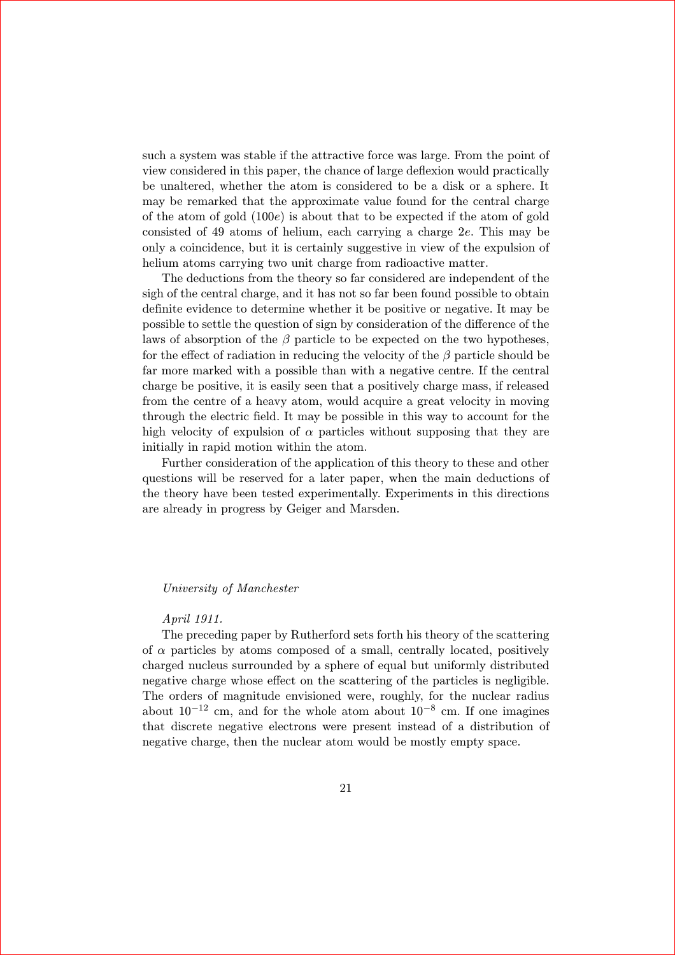such a system was stable if the attractive force was large. From the point of view considered in this paper, the chance of large deflexion would practically be unaltered, whether the atom is considered to be a disk or a sphere. It may be remarked that the approximate value found for the central charge of the atom of gold (100e) is about that to be expected if the atom of gold consisted of 49 atoms of helium, each carrying a charge 2e. This may be only a coincidence, but it is certainly suggestive in view of the expulsion of helium atoms carrying two unit charge from radioactive matter.

The deductions from the theory so far considered are independent of the sigh of the central charge, and it has not so far been found possible to obtain definite evidence to determine whether it be positive or negative. It may be possible to settle the question of sign by consideration of the difference of the laws of absorption of the  $\beta$  particle to be expected on the two hypotheses, for the effect of radiation in reducing the velocity of the  $\beta$  particle should be far more marked with a possible than with a negative centre. If the central charge be positive, it is easily seen that a positively charge mass, if released from the centre of a heavy atom, would acquire a great velocity in moving through the electric field. It may be possible in this way to account for the high velocity of expulsion of  $\alpha$  particles without supposing that they are initially in rapid motion within the atom.

Further consideration of the application of this theory to these and other questions will be reserved for a later paper, when the main deductions of the theory have been tested experimentally. Experiments in this directions are already in progress by Geiger and Marsden.

#### University of Manchester

#### April 1911.

The preceding paper by Rutherford sets forth his theory of the scattering of  $\alpha$  particles by atoms composed of a small, centrally located, positively charged nucleus surrounded by a sphere of equal but uniformly distributed negative charge whose effect on the scattering of the particles is negligible. The orders of magnitude envisioned were, roughly, for the nuclear radius about  $10^{-12}$  cm, and for the whole atom about  $10^{-8}$  cm. If one imagines that discrete negative electrons were present instead of a distribution of negative charge, then the nuclear atom would be mostly empty space.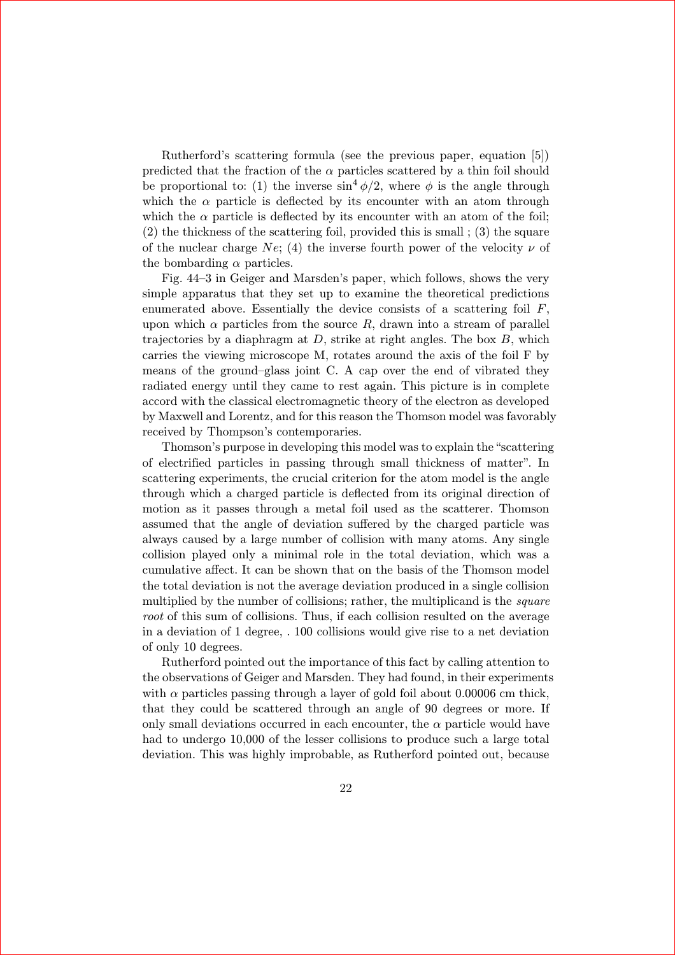Rutherford's scattering formula (see the previous paper, equation [5]) predicted that the fraction of the  $\alpha$  particles scattered by a thin foil should be proportional to: (1) the inverse  $\sin^4 \phi/2$ , where  $\phi$  is the angle through which the  $\alpha$  particle is deflected by its encounter with an atom through which the  $\alpha$  particle is deflected by its encounter with an atom of the foil; (2) the thickness of the scattering foil, provided this is small ; (3) the square of the nuclear charge Ne; (4) the inverse fourth power of the velocity  $\nu$  of the bombarding  $\alpha$  particles.

Fig. 44–3 in Geiger and Marsden's paper, which follows, shows the very simple apparatus that they set up to examine the theoretical predictions enumerated above. Essentially the device consists of a scattering foil  $F$ , upon which  $\alpha$  particles from the source R, drawn into a stream of parallel trajectories by a diaphragm at  $D$ , strike at right angles. The box  $B$ , which carries the viewing microscope M, rotates around the axis of the foil F by means of the ground–glass joint C. A cap over the end of vibrated they radiated energy until they came to rest again. This picture is in complete accord with the classical electromagnetic theory of the electron as developed by Maxwell and Lorentz, and for this reason the Thomson model was favorably received by Thompson's contemporaries.

Thomson's purpose in developing this model was to explain the"scattering of electrified particles in passing through small thickness of matter". In scattering experiments, the crucial criterion for the atom model is the angle through which a charged particle is deflected from its original direction of motion as it passes through a metal foil used as the scatterer. Thomson assumed that the angle of deviation suffered by the charged particle was always caused by a large number of collision with many atoms. Any single collision played only a minimal role in the total deviation, which was a cumulative affect. It can be shown that on the basis of the Thomson model the total deviation is not the average deviation produced in a single collision multiplied by the number of collisions; rather, the multiplicand is the *square* root of this sum of collisions. Thus, if each collision resulted on the average in a deviation of 1 degree, . 100 collisions would give rise to a net deviation of only 10 degrees.

Rutherford pointed out the importance of this fact by calling attention to the observations of Geiger and Marsden. They had found, in their experiments with  $\alpha$  particles passing through a layer of gold foil about 0.00006 cm thick, that they could be scattered through an angle of 90 degrees or more. If only small deviations occurred in each encounter, the  $\alpha$  particle would have had to undergo 10,000 of the lesser collisions to produce such a large total deviation. This was highly improbable, as Rutherford pointed out, because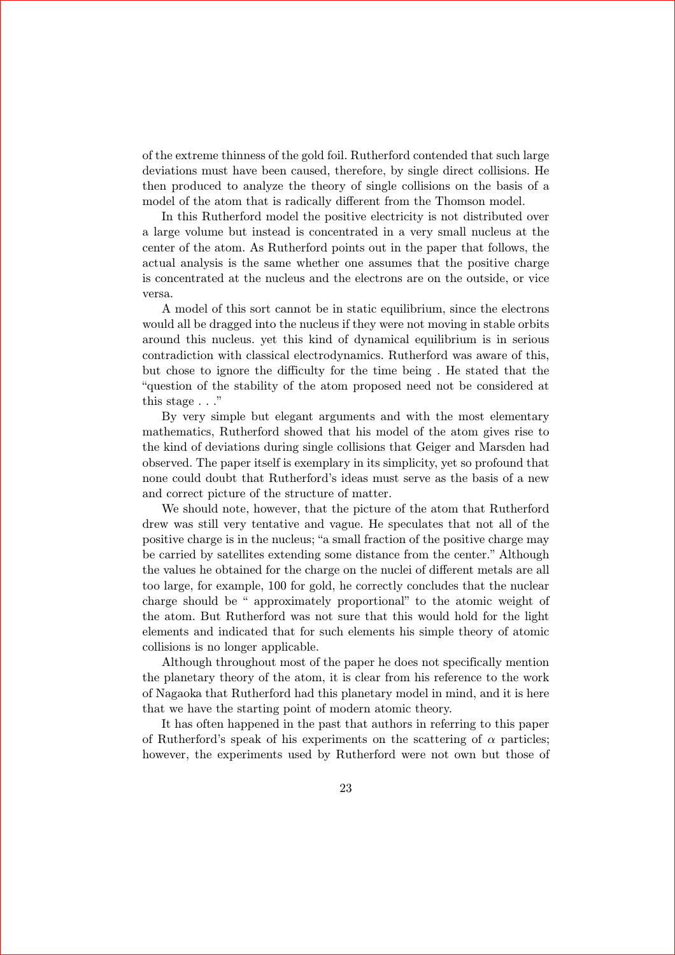of the extreme thinness of the gold foil. Rutherford contended that such large deviations must have been caused, therefore, by single direct collisions. He then produced to analyze the theory of single collisions on the basis of a model of the atom that is radically different from the Thomson model.

In this Rutherford model the positive electricity is not distributed over a large volume but instead is concentrated in a very small nucleus at the center of the atom. As Rutherford points out in the paper that follows, the actual analysis is the same whether one assumes that the positive charge is concentrated at the nucleus and the electrons are on the outside, or vice versa.

A model of this sort cannot be in static equilibrium, since the electrons would all be dragged into the nucleus if they were not moving in stable orbits around this nucleus. yet this kind of dynamical equilibrium is in serious contradiction with classical electrodynamics. Rutherford was aware of this, but chose to ignore the difficulty for the time being . He stated that the "question of the stability of the atom proposed need not be considered at this stage . . ."

By very simple but elegant arguments and with the most elementary mathematics, Rutherford showed that his model of the atom gives rise to the kind of deviations during single collisions that Geiger and Marsden had observed. The paper itself is exemplary in its simplicity, yet so profound that none could doubt that Rutherford's ideas must serve as the basis of a new and correct picture of the structure of matter.

We should note, however, that the picture of the atom that Rutherford drew was still very tentative and vague. He speculates that not all of the positive charge is in the nucleus; "a small fraction of the positive charge may be carried by satellites extending some distance from the center." Although the values he obtained for the charge on the nuclei of different metals are all too large, for example, 100 for gold, he correctly concludes that the nuclear charge should be " approximately proportional" to the atomic weight of the atom. But Rutherford was not sure that this would hold for the light elements and indicated that for such elements his simple theory of atomic collisions is no longer applicable.

Although throughout most of the paper he does not specifically mention the planetary theory of the atom, it is clear from his reference to the work of Nagaoka that Rutherford had this planetary model in mind, and it is here that we have the starting point of modern atomic theory.

It has often happened in the past that authors in referring to this paper of Rutherford's speak of his experiments on the scattering of  $\alpha$  particles; however, the experiments used by Rutherford were not own but those of